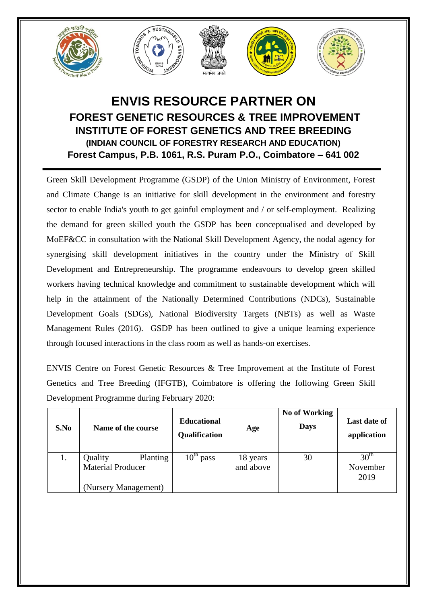

## **ENVIS RESOURCE PARTNER ON FOREST GENETIC RESOURCES & TREE IMPROVEMENT INSTITUTE OF FOREST GENETICS AND TREE BREEDING (INDIAN COUNCIL OF FORESTRY RESEARCH AND EDUCATION) Forest Campus, P.B. 1061, R.S. Puram P.O., Coimbatore – 641 002**

Green Skill Development Programme (GSDP) of the Union Ministry of Environment, Forest and Climate Change is an initiative for skill development in the environment and forestry sector to enable India's youth to get gainful employment and / or self-employment. Realizing the demand for green skilled youth the GSDP has been conceptualised and developed by MoEF&CC in consultation with the National Skill Development Agency, the nodal agency for synergising skill development initiatives in the country under the Ministry of Skill Development and Entrepreneurship. The programme endeavours to develop green skilled workers having technical knowledge and commitment to sustainable development which will help in the attainment of the Nationally Determined Contributions (NDCs), Sustainable Development Goals (SDGs), National Biodiversity Targets (NBTs) as well as Waste Management Rules (2016). GSDP has been outlined to give a unique learning experience through focused interactions in the class room as well as hands-on exercises.

ENVIS Centre on Forest Genetic Resources & Tree Improvement at the Institute of Forest Genetics and Tree Breeding (IFGTB), Coimbatore is offering the following Green Skill Development Programme during February 2020:

| S.No | Name of the course       | <b>Educational</b><br>Qualification | Age       | No of Working<br><b>Days</b> | Last date of<br>application |
|------|--------------------------|-------------------------------------|-----------|------------------------------|-----------------------------|
| 1.   | Quality<br>Planting      | $10^{\text{th}}$<br>pass            | 18 years  | 30                           | 30 <sup>th</sup>            |
|      | <b>Material Producer</b> |                                     | and above |                              | November                    |
|      |                          |                                     |           |                              | 2019                        |
|      | (Nursery Management)     |                                     |           |                              |                             |